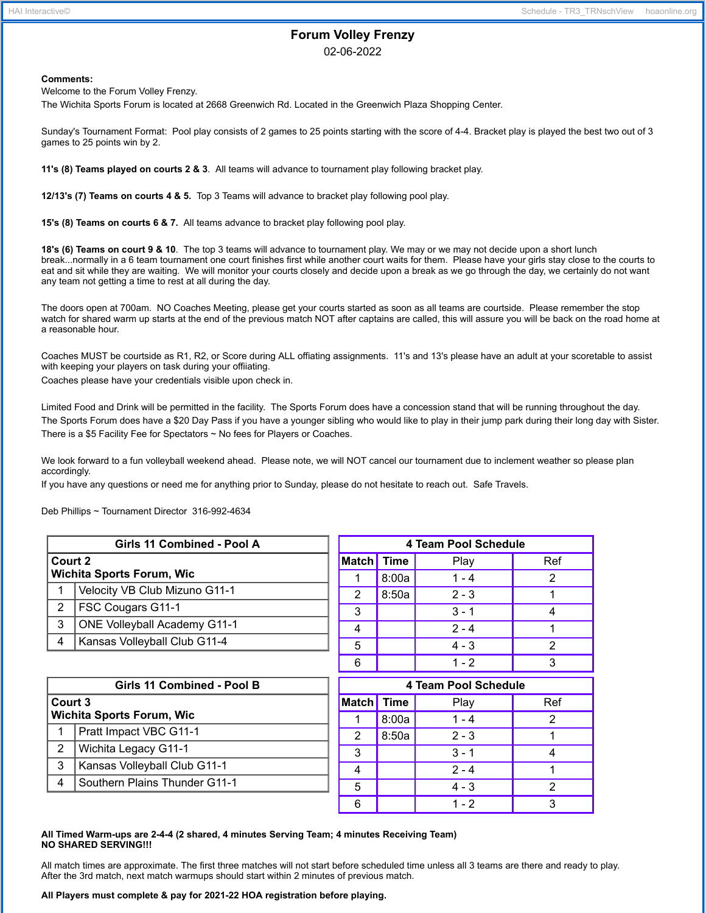# **Forum Volley Frenzy**

02-06-2022

## **Comments:**

Welcome to the Forum Volley Frenzy.

The Wichita Sports Forum is located at 2668 Greenwich Rd. Located in the Greenwich Plaza Shopping Center.

Sunday's Tournament Format: Pool play consists of 2 games to 25 points starting with the score of 4-4. Bracket play is played the best two out of 3 games to 25 points win by 2.

**11's (8) Teams played on courts 2 & 3**. All teams will advance to tournament play following bracket play.

**12/13's (7) Teams on courts 4 & 5.** Top 3 Teams will advance to bracket play following pool play.

**15's (8) Teams on courts 6 & 7.** All teams advance to bracket play following pool play.

**18's (6) Teams on court 9 & 10**. The top 3 teams will advance to tournament play. We may or we may not decide upon a short lunch break...normally in a 6 team tournament one court finishes first while another court waits for them. Please have your girls stay close to the courts to eat and sit while they are waiting. We will monitor your courts closely and decide upon a break as we go through the day, we certainly do not want any team not getting a time to rest at all during the day.

The doors open at 700am. NO Coaches Meeting, please get your courts started as soon as all teams are courtside. Please remember the stop watch for shared warm up starts at the end of the previous match NOT after captains are called, this will assure you will be back on the road home at a reasonable hour.

Coaches MUST be courtside as R1, R2, or Score during ALL offiating assignments. 11's and 13's please have an adult at your scoretable to assist with keeping your players on task during your offiiating.

Coaches please have your credentials visible upon check in.

Limited Food and Drink will be permitted in the facility. The Sports Forum does have a concession stand that will be running throughout the day. The Sports Forum does have a \$20 Day Pass if you have a younger sibling who would like to play in their jump park during their long day with Sister. There is a \$5 Facility Fee for Spectators ~ No fees for Players or Coaches.

We look forward to a fun volleyball weekend ahead. Please note, we will NOT cancel our tournament due to inclement weather so please plan accordingly.

If you have any questions or need me for anything prior to Sunday, please do not hesitate to reach out. Safe Travels.

Deb Phillips ~ Tournament Director 316-992-4634

| Girls 11 Combined - Pool A       |                                     | 4 Team Pool Schedule    |             |         |                |
|----------------------------------|-------------------------------------|-------------------------|-------------|---------|----------------|
| Court 2                          |                                     | <b>Match</b>            | <b>Time</b> | Play    | Ref            |
| <b>Wichita Sports Forum, Wic</b> |                                     | 1                       | 8:00a       | $1 - 4$ | 2              |
| 1                                | Velocity VB Club Mizuno G11-1       | 2                       | 8:50a       | $2 - 3$ |                |
| $\overline{2}$                   | FSC Cougars G11-1                   | 3                       |             | $3 - 1$ | 4              |
| 3                                | <b>ONE Volleyball Academy G11-1</b> | $\overline{\mathbf{4}}$ |             | $2 - 4$ |                |
| 4                                | Kansas Volleyball Club G11-4        | 5                       |             | $4 - 3$ | $\overline{2}$ |
|                                  |                                     | 6                       |             | $1 - 2$ | 3              |
| Girls 11 Combined - Pool B       |                                     | 4 Team Pool Schedule    |             |         |                |
| Court 3                          |                                     | <b>Match</b>            | <b>Time</b> | Play    | Ref            |
| <b>Wichita Sports Forum, Wic</b> |                                     |                         | 8:00a       | $1 - 4$ | $\overline{2}$ |
| 1                                | Pratt Impact VBC G11-1              | 2                       | 8:50a       | $2 - 3$ |                |
| $\overline{2}$                   | Wichita Legacy G11-1                | 3                       |             | $3 - 1$ | 4              |
| 3                                | Kansas Volleyball Club G11-1        | 4                       |             | $2 - 4$ |                |
| 4                                | Southern Plains Thunder G11-1       | 5                       |             | $4 - 3$ | 2              |

#### **All Timed Warm-ups are 2-4-4 (2 shared, 4 minutes Serving Team; 4 minutes Receiving Team) NO SHARED SERVING!!!**

All match times are approximate. The first three matches will not start before scheduled time unless all 3 teams are there and ready to play. After the 3rd match, next match warmups should start within 2 minutes of previous match.

6 | 1-2 | 3

### **All Players must complete & pay for 2021-22 HOA registration before playing.**